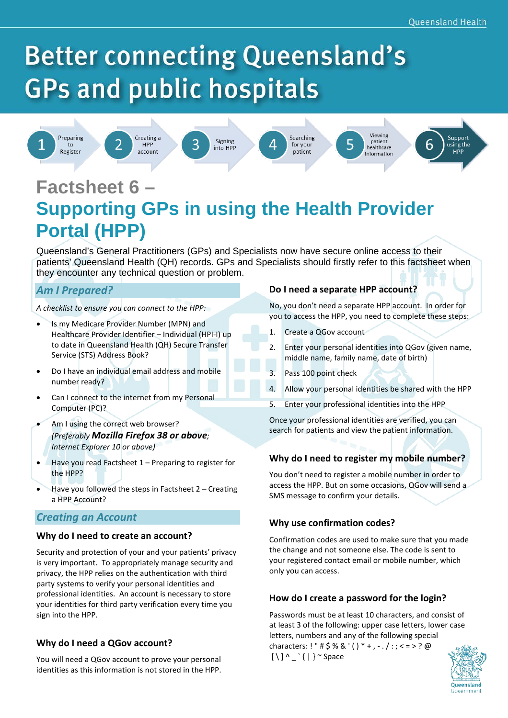# **Better connecting Queensland's GPs and public hospitals**



to



Creating a HPP account



Δ

Searching

for your

patient





# **Factsheet 6 – Supporting GPs in using the Health Provider Portal (HPP)**

Queensland's General Practitioners (GPs) and Specialists now have secure online access to their patients' Queensland Health (QH) records. GPs and Specialists should firstly refer to this factsheet when they encounter any technical question or problem.

# *Am I Prepared?*

*A checklist to ensure you can connect to the HPP:*

- Is my Medicare Provider Number (MPN) and Healthcare Provider Identifier – Individual (HPI-I) up to date in Queensland Health (QH) Secure Transfer Service (STS) Address Book?
- Do I have an individual email address and mobile number ready?
- Can I connect to the internet from my Personal Computer (PC)?
- Am I using the correct web browser? *(Preferably Mozilla Firefox 38 or above; Internet Explorer 10 or above)*
- Have you read Factsheet 1 Preparing to register for the HPP?
- Have you followed the steps in Factsheet 2 Creating a HPP Account?

# *Creating an Account*

#### **Why do I need to create an account?**

Security and protection of your and your patients' privacy is very important. To appropriately manage security and privacy, the HPP relies on the authentication with third party systems to verify your personal identities and professional identities. An account is necessary to store your identities for third party verification every time you sign into the HPP.

#### **Why do I need a QGov account?**

You will need a QGov account to prove your personal identities as this information is not stored in the HPP.

#### **Do I need a separate HPP account?**

No, you don't need a separate HPP account. In order for you to access the HPP, you need to complete these steps:

- 1. Create a QGov account
- 2. Enter your personal identities into QGov (given name, middle name, family name, date of birth)
- 3. Pass 100 point check
- 4. Allow your personal identities be shared with the HPP
- 5. Enter your professional identities into the HPP

Once your professional identities are verified, you can search for patients and view the patient information.

#### **Why do I need to register my mobile number?**

You don't need to register a mobile number in order to access the HPP. But on some occasions, QGov will send a SMS message to confirm your details.

# **Why use confirmation codes?**

Confirmation codes are used to make sure that you made the change and not someone else. The code is sent to your registered contact email or mobile number, which only you can access.

# **How do I create a password for the login?**

Passwords must be at least 10 characters, and consist of at least 3 of the following: upper case letters, lower case letters, numbers and any of the followin[g special](https://www.owasp.org/index.php/Password_special_characters)  [characters:](https://www.owasp.org/index.php/Password_special_characters) ! " # \$ % & ' ( ) \* + , - . / : ; < = > ? @

 $[\ ]^ \wedge ]^ \wedge \_ {}^ \backslash \{ \ ] \}^ \sim$  Space

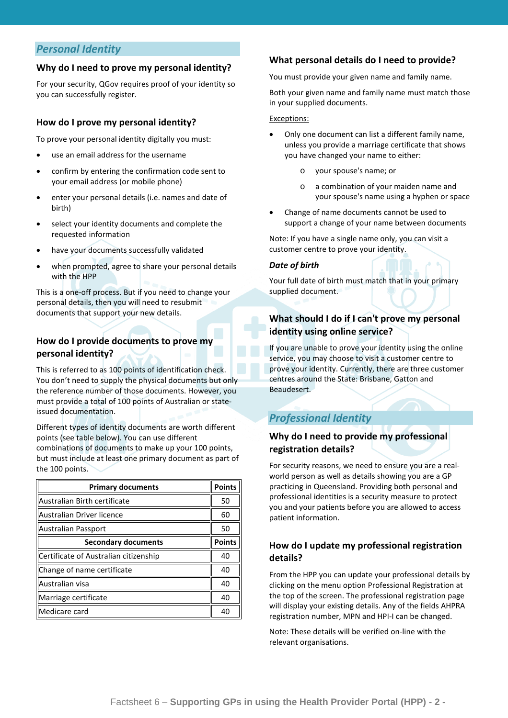### *Personal Identity*

#### **Why do I need to prove my personal identity?**

For your security, QGov requires proof of your identity so you can successfully register.

#### **How do I prove my personal identity?**

To prove your personal identity digitally you must:

- use an email address for the username
- confirm by entering the confirmation code sent to your email address (or mobile phone)
- ente[r your personal details \(i.e. names and date of](https://identity.qld.gov.au/help/faq.html#whatDocumentsDoINeedToProveMyDigitalIdentity)  [birth\)](https://identity.qld.gov.au/help/faq.html#whatDocumentsDoINeedToProveMyDigitalIdentity)
- selec[t your identity documents](https://identity.qld.gov.au/help/faq.html#whatDocumentsDoINeedToProveMyDigitalIdentity) and complete the requested information
- have your document[s successfully validated](https://identity.qld.gov.au/help/faq.html#howAreMyDocumentsChecked)
- when prompted, agree to [share your personal details](https://identity.qld.gov.au/help/faq.html#howDoIShareMyPersonalDetails) with the HPP

This is a one-off process. But if you need t[o change your](https://identity.qld.gov.au/help/faq.html#howDoIChangeMyDetails)  [personal details,](https://identity.qld.gov.au/help/faq.html#howDoIChangeMyDetails) then you will need to resubmit documents that support your new details.

#### **How do I provide documents to prove my personal identity?**

This is referred to as 100 points of identification check. You don't need to supply the physical documents but only the reference number of those documents. However, you must provide a total of 100 points of Australian or stateissued documentation.

Different types of identity documents are worth different points (see table below). You can use different combinations of documents to make up your 100 points, but must include at least one primary document as part of the 100 points.

| <b>Primary documents</b>              | <b>Points</b> |
|---------------------------------------|---------------|
| Australian Birth certificate          | 50            |
| Australian Driver licence             | 60            |
| Australian Passport                   | 50            |
| <b>Secondary documents</b>            | <b>Points</b> |
| Certificate of Australian citizenship | 40            |
| Change of name certificate            | 40            |
| Australian visa                       | 40            |
| Marriage certificate                  | 40            |
| Medicare card                         | 40            |

#### **What personal details do I need to provide?**

You must provide your given name and family name.

Both your given name and family name must match those in your supplied documents.

#### Exceptions:

- Only one document can list a different family name, unless you provide a marriage certificate that shows you have changed your name to either:
	- o your spouse's name; or
	- a combination of your maiden name and your spouse's name using a hyphen or space
- Change of name documents cannot be used to support a change of your name between documents

Note: If you have a single name only, you can visit a customer centre to prove your identity.

#### *Date of birth*

Your full date of birth must match that in your primary supplied document.

#### **What should I do if I can't prove my personal identity using online service?**

If you are unable to prove your identity using the online service, you may choose to visit a customer centre to prove your identity. Currently, there are three customer centres around the State: Brisbane, Gatton and Beaudesert.

# *Professional Identity*

#### **Why do I need to provide my professional registration details?**

For security reasons, we need to ensure you are a realworld person as well as details showing you are a GP practicing in Queensland. Providing both personal and professional identities is a security measure to protect you and your patients before you are allowed to access patient information.

#### **How do I update my professional registration details?**

From the HPP you can update your professional details by clicking on the menu option Professional Registration at the top of the screen. The professional registration page will display your existing details. Any of the fields AHPRA registration number, MPN and HPI-I can be changed.

Note: These details will be verified on-line with the relevant organisations.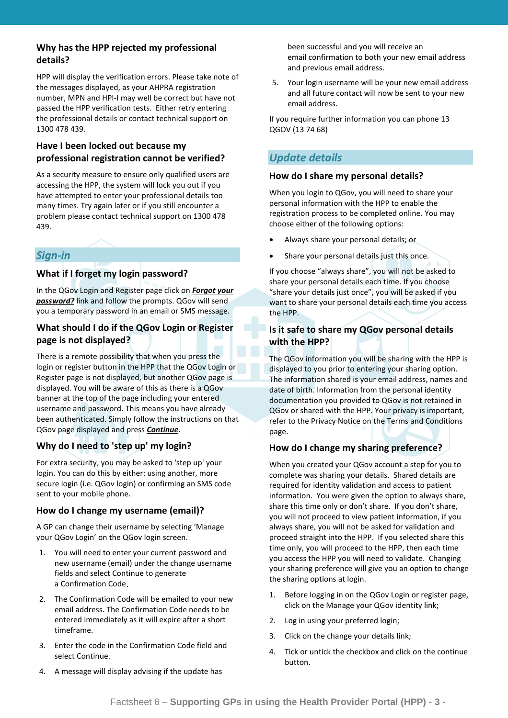#### **Why has the HPP rejected my professional details?**

HPP will display the verification errors. Please take note of the messages displayed, as your AHPRA registration number, MPN and HPI-I may well be correct but have not passed the HPP verification tests. Either retry entering the professional details or contact technical support on 1300 478 439.

#### **Have I been locked out because my professional registration cannot be verified?**

As a security measure to ensure only qualified users are accessing the HPP, the system will lock you out if you have attempted to enter your professional details too many times. Try again later or if you still encounter a problem please contact technical support on 1300 478 439.

# *Sign-in*

#### **What if I forget my login password?**

In the QGov Login and Register page click on *Forgot your password?* link and follow the prompts. QGov will send you a temporary password in an email or SMS message.

#### **What should I do if the QGov Login or Register page is not displayed?**

There is a remote possibility that when you press the login or register button in the HPP that the QGov Login or Register page is not displayed, but another QGov page is displayed. You will be aware of this as there is a QGov banner at the top of the page including your entered username and password. This means you have already been authenticated. Simply follow the instructions on that QGov page displayed and press *Continue*.

#### **Why do I need to 'step up' my login?**

For extra security, you may be asked to 'step up' your login. You can do this by either: using another, more secure login (i.e. QGov login) or confirming an SMS code sent to your mobile phone.

#### **How do I change my username (email)?**

A GP can change their username by selecting 'Manage your QGov Login' on the QGov login screen.

- 1. You will need to enter your current password and new username (email) under the change username fields and select Continue to generate a Confirmation Code.
- 2. The Confirmation Code will be emailed to your new email address. The Confirmation Code needs to be entered immediately as it will expire after a short timeframe.
- 3. Enter the code in the Confirmation Code field and select Continue.
- 4. A message will display advising if the update has

been successful and you will receive an email confirmation to both your new email address and previous email address.

5. Your login username will be your new email address and all future contact will now be sent to your new email address.

If you require further information you can phone 13 QGOV (13 74 68)

# *Update details*

#### **How do I share my personal details?**

When you login to QGov, you will need to share your personal information with the HPP to enable the registration process to be completed online. You may choose either of the following options:

- Always share your personal details; or
- Share your personal details just this once.

If you choose "always share", you will not be asked to share your personal details each time. If you choose "share your details just once", you will be asked if you want to share your personal details each time you access the HPP.

#### **Is it safe to share my QGov personal details with the HPP?**

The QGov information you will be sharing with the HPP is displayed to you prior to entering your sharing option. The information shared is your email address, names and date of birth. Information from the personal identity documentation you provided to QGov is not retained in QGov or shared with the HPP. Your privacy is important, refer to the Privacy Notice on the Terms and Conditions page.

#### **How do I change my sharing preference?**

When you created your QGov account a step for you to complete was sharing your details. Shared details are required for identity validation and access to patient information. You were given the option to always share, share this time only or don't share. If you don't share, you will not proceed to view patient information, if you always share, you will not be asked for validation and proceed straight into the HPP. If you selected share this time only, you will proceed to the HPP, then each time you access the HPP you will need to validate. Changing your sharing preference will give you an option to change the sharing options at login.

- 1. Before logging in on the QGov Login or register page, click on the Manage your QGov identity link;
- 2. Log in using your preferred login;
- 3. Click on the change your details link;
- 4. Tick or untick the checkbox and click on the continue button.